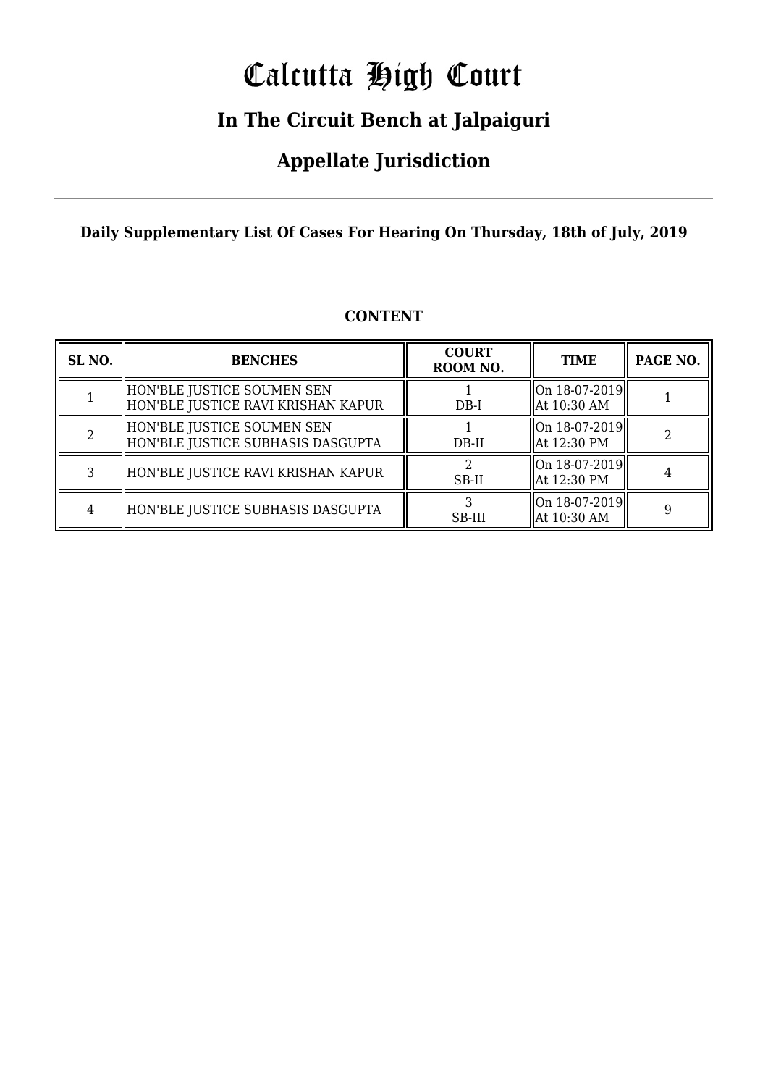# Calcutta High Court

### **In The Circuit Bench at Jalpaiguri**

### **Appellate Jurisdiction**

**Daily Supplementary List Of Cases For Hearing On Thursday, 18th of July, 2019**

| <b>CONTENT</b> |
|----------------|
|----------------|

| SL <sub>NO.</sub> | <b>BENCHES</b>                                                   | <b>COURT</b><br>ROOM NO. | <b>TIME</b>                              | PAGE NO. |
|-------------------|------------------------------------------------------------------|--------------------------|------------------------------------------|----------|
|                   | HON'BLE JUSTICE SOUMEN SEN<br>HON'BLE JUSTICE RAVI KRISHAN KAPUR | $DB-I$                   | On 18-07-2019  <br>  At 10:30 AM         |          |
|                   | HON'BLE JUSTICE SOUMEN SEN<br>HON'BLE JUSTICE SUBHASIS DASGUPTA  | $DB-II$                  | $\ $ On 18-07-2019 $\ $<br>  At 12:30 PM |          |
|                   | HON'BLE JUSTICE RAVI KRISHAN KAPUR                               | SB-II                    | $\ $ On 18-07-2019 $\ $<br>  At 12:30 PM |          |
|                   | HON'BLE JUSTICE SUBHASIS DASGUPTA                                | SB-III                   | $\ $ On 18-07-2019 $\ $<br>  At 10:30 AM |          |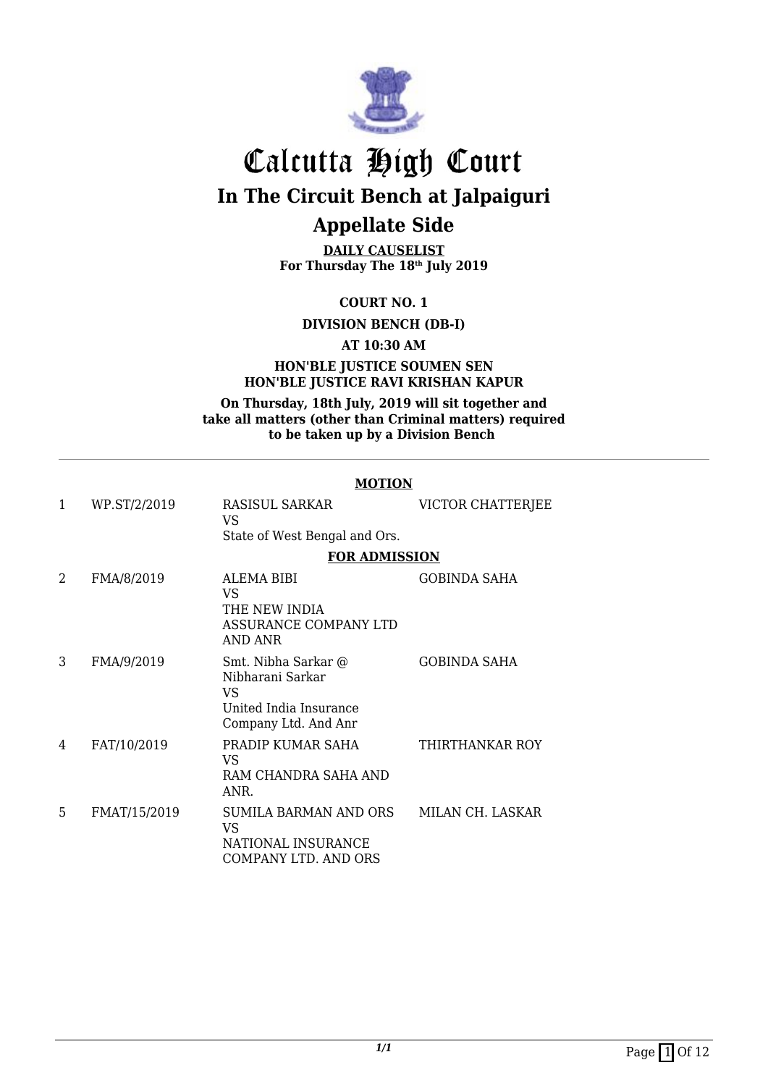

**DAILY CAUSELIST For Thursday The 18th July 2019**

**COURT NO. 1**

**DIVISION BENCH (DB-I)**

**AT 10:30 AM**

#### **HON'BLE JUSTICE SOUMEN SEN HON'BLE JUSTICE RAVI KRISHAN KAPUR**

**On Thursday, 18th July, 2019 will sit together and take all matters (other than Criminal matters) required to be taken up by a Division Bench** 

#### **MOTION**

| 1 | WP.ST/2/2019 | RASISUL SARKAR<br>VS                                                                            | VICTOR CHATTERJEE   |
|---|--------------|-------------------------------------------------------------------------------------------------|---------------------|
|   |              | State of West Bengal and Ors.                                                                   |                     |
|   |              | <b>FOR ADMISSION</b>                                                                            |                     |
| 2 | FMA/8/2019   | ALEMA BIBI<br>VS<br>THE NEW INDIA<br>ASSURANCE COMPANY LTD<br>AND ANR                           | <b>GOBINDA SAHA</b> |
| 3 | FMA/9/2019   | Smt. Nibha Sarkar @<br>Nibharani Sarkar<br>VS<br>United India Insurance<br>Company Ltd. And Anr | <b>GOBINDA SAHA</b> |
| 4 | FAT/10/2019  | PRADIP KUMAR SAHA<br><b>VS</b><br>RAM CHANDRA SAHA AND<br>ANR.                                  | THIRTHANKAR ROY     |
| 5 | FMAT/15/2019 | SUMILA BARMAN AND ORS<br>VS<br>NATIONAL INSURANCE<br>COMPANY LTD. AND ORS                       | MILAN CH. LASKAR    |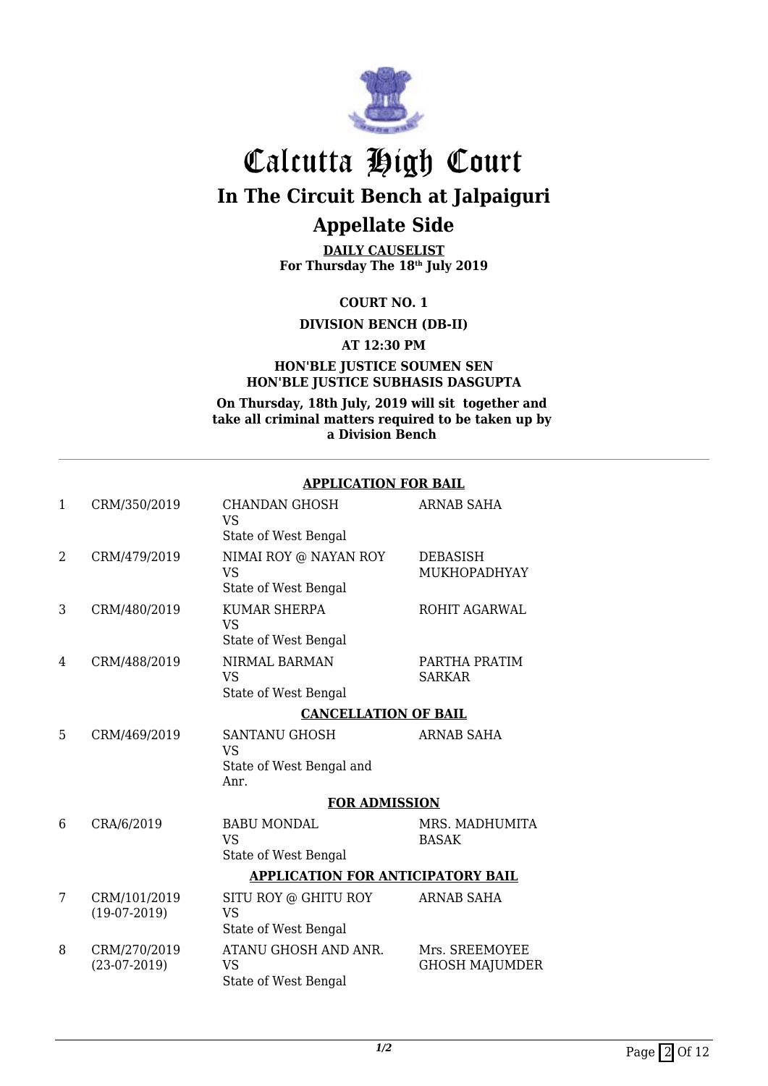

**DAILY CAUSELIST For Thursday The 18th July 2019**

**COURT NO. 1**

**DIVISION BENCH (DB-II)**

**AT 12:30 PM**

**HON'BLE JUSTICE SOUMEN SEN HON'BLE JUSTICE SUBHASIS DASGUPTA**

**On Thursday, 18th July, 2019 will sit together and take all criminal matters required to be taken up by a Division Bench** 

#### **APPLICATION FOR BAIL**

| 1 | CRM/350/2019                   | <b>CHANDAN GHOSH</b><br><b>VS</b><br>State of West Bengal      | <b>ARNAB SAHA</b>                       |
|---|--------------------------------|----------------------------------------------------------------|-----------------------------------------|
| 2 | CRM/479/2019                   | NIMAI ROY @ NAYAN ROY<br><b>VS</b><br>State of West Bengal     | DEBASISH<br>MUKHOPADHYAY                |
| 3 | CRM/480/2019                   | <b>KUMAR SHERPA</b><br><b>VS</b><br>State of West Bengal       | ROHIT AGARWAL                           |
| 4 | CRM/488/2019                   | NIRMAL BARMAN<br><b>VS</b><br>State of West Bengal             | PARTHA PRATIM<br><b>SARKAR</b>          |
|   |                                | <b>CANCELLATION OF BAIL</b>                                    |                                         |
| 5 | CRM/469/2019                   | SANTANU GHOSH<br><b>VS</b><br>State of West Bengal and<br>Anr. | <b>ARNAB SAHA</b>                       |
|   |                                | <b>FOR ADMISSION</b>                                           |                                         |
| 6 | CRA/6/2019                     | <b>BABU MONDAL</b><br><b>VS</b><br>State of West Bengal        | MRS. MADHUMITA<br><b>BASAK</b>          |
|   |                                | <b>APPLICATION FOR ANTICIPATORY BAIL</b>                       |                                         |
| 7 | CRM/101/2019<br>$(19-07-2019)$ | SITU ROY @ GHITU ROY<br><b>VS</b><br>State of West Bengal      | <b>ARNAB SAHA</b>                       |
| 8 | CRM/270/2019<br>$(23-07-2019)$ | ATANU GHOSH AND ANR.<br>VS<br>State of West Bengal             | Mrs. SREEMOYEE<br><b>GHOSH MAJUMDER</b> |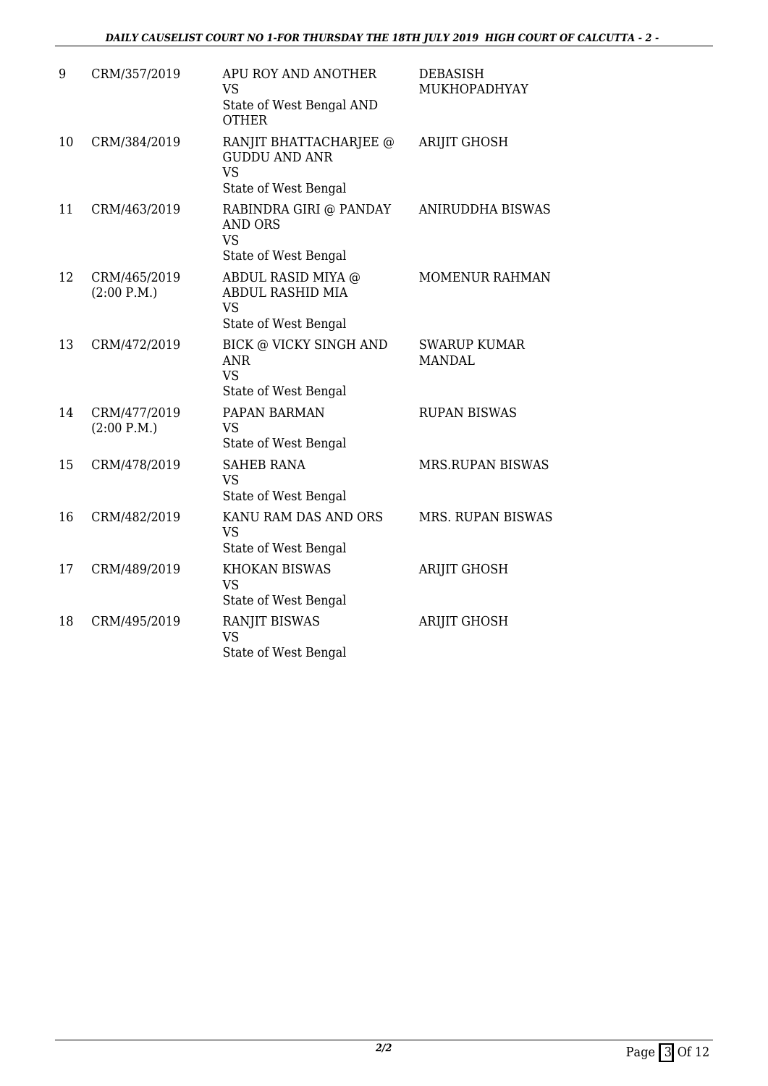| 9  | CRM/357/2019                | APU ROY AND ANOTHER<br><b>VS</b><br>State of West Bengal AND<br><b>OTHER</b>        | <b>DEBASISH</b><br>MUKHOPADHYAY      |
|----|-----------------------------|-------------------------------------------------------------------------------------|--------------------------------------|
| 10 | CRM/384/2019                | RANJIT BHATTACHARJEE @<br><b>GUDDU AND ANR</b><br><b>VS</b><br>State of West Bengal | <b>ARIJIT GHOSH</b>                  |
| 11 | CRM/463/2019                | RABINDRA GIRI @ PANDAY<br><b>AND ORS</b><br><b>VS</b><br>State of West Bengal       | <b>ANIRUDDHA BISWAS</b>              |
| 12 | CRM/465/2019<br>(2:00 P.M.) | ABDUL RASID MIYA @<br><b>ABDUL RASHID MIA</b><br><b>VS</b><br>State of West Bengal  | MOMENUR RAHMAN                       |
| 13 | CRM/472/2019                | <b>BICK @ VICKY SINGH AND</b><br><b>ANR</b><br><b>VS</b><br>State of West Bengal    | <b>SWARUP KUMAR</b><br><b>MANDAL</b> |
| 14 | CRM/477/2019<br>(2:00 P.M.) | PAPAN BARMAN<br><b>VS</b><br>State of West Bengal                                   | <b>RUPAN BISWAS</b>                  |
| 15 | CRM/478/2019                | <b>SAHEB RANA</b><br><b>VS</b><br>State of West Bengal                              | <b>MRS.RUPAN BISWAS</b>              |
| 16 | CRM/482/2019                | KANU RAM DAS AND ORS<br><b>VS</b><br>State of West Bengal                           | MRS. RUPAN BISWAS                    |
| 17 | CRM/489/2019                | <b>KHOKAN BISWAS</b><br><b>VS</b><br>State of West Bengal                           | ARIJIT GHOSH                         |
| 18 | CRM/495/2019                | <b>RANJIT BISWAS</b><br><b>VS</b><br>State of West Bengal                           | <b>ARIJIT GHOSH</b>                  |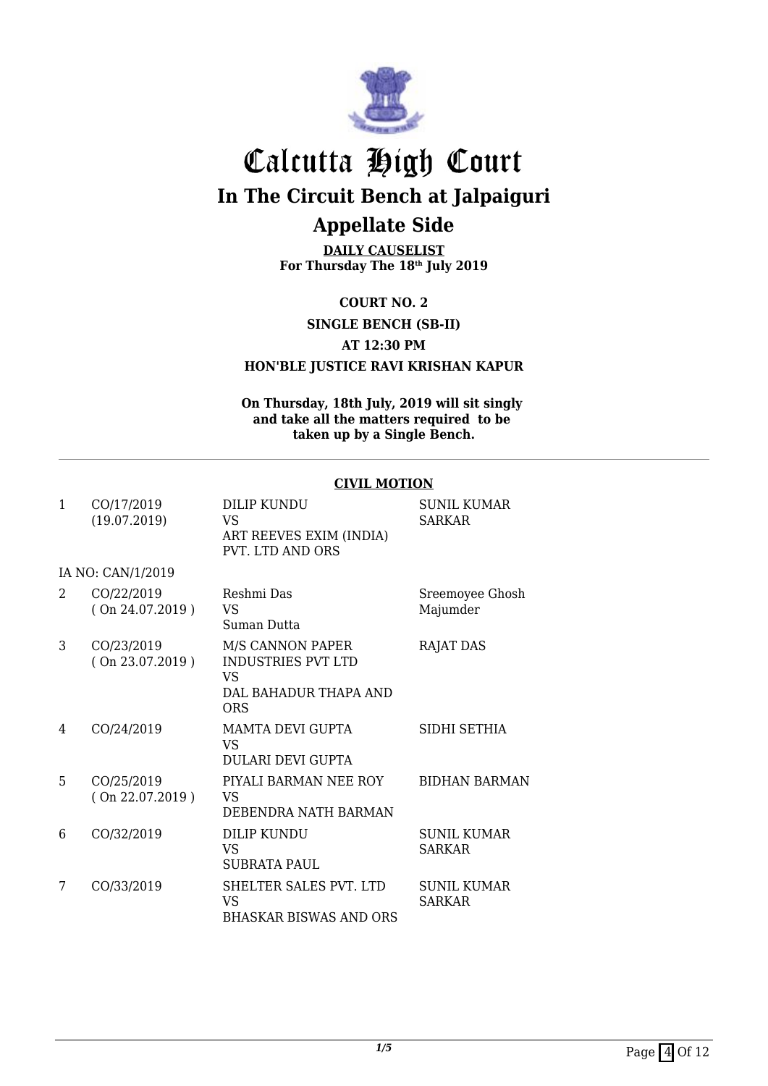

**DAILY CAUSELIST For Thursday The 18th July 2019**

**COURT NO. 2**

**SINGLE BENCH (SB-II)**

#### **AT 12:30 PM**

**HON'BLE JUSTICE RAVI KRISHAN KAPUR**

**On Thursday, 18th July, 2019 will sit singly and take all the matters required to be taken up by a Single Bench.**

#### **CIVIL MOTION**

| 1              | CO/17/2019<br>(19.07.2019)    | DILIP KUNDU<br>VS.<br>ART REEVES EXIM (INDIA)<br>PVT. LTD AND ORS                                  | <b>SUNIL KUMAR</b><br><b>SARKAR</b> |
|----------------|-------------------------------|----------------------------------------------------------------------------------------------------|-------------------------------------|
|                | IA NO: CAN/1/2019             |                                                                                                    |                                     |
| $\mathfrak{D}$ | CO/22/2019<br>(On 24.07.2019) | Reshmi Das<br><b>VS</b><br>Suman Dutta                                                             | Sreemoyee Ghosh<br>Majumder         |
| 3              | CO/23/2019<br>(On 23.07.2019) | <b>M/S CANNON PAPER</b><br><b>INDUSTRIES PVT LTD</b><br>VS.<br>DAL BAHADUR THAPA AND<br><b>ORS</b> | <b>RAJAT DAS</b>                    |
| 4              | CO/24/2019                    | <b>MAMTA DEVI GUPTA</b><br>VS.<br><b>DULARI DEVI GUPTA</b>                                         | SIDHI SETHIA                        |
| 5              | CO/25/2019<br>(On 22.07.2019) | PIYALI BARMAN NEE ROY<br>VS<br>DEBENDRA NATH BARMAN                                                | <b>BIDHAN BARMAN</b>                |
| 6              | CO/32/2019                    | DILIP KUNDU<br>VS<br>SUBRATA PAUL                                                                  | <b>SUNIL KUMAR</b><br><b>SARKAR</b> |
| 7              | CO/33/2019                    | SHELTER SALES PVT. LTD<br>VS.<br><b>BHASKAR BISWAS AND ORS</b>                                     | <b>SUNIL KUMAR</b><br><b>SARKAR</b> |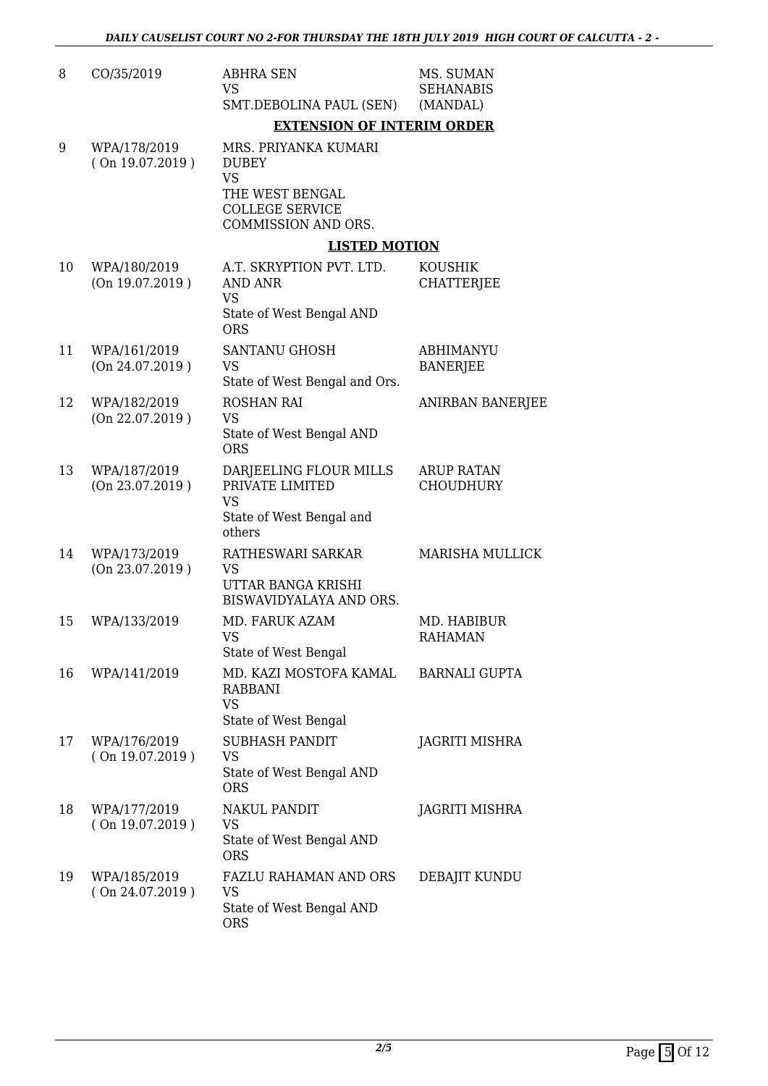| 8  | CO/35/2019                      | <b>ABHRA SEN</b><br><b>VS</b><br>SMT.DEBOLINA PAUL (SEN)                                                              | MS. SUMAN<br><b>SEHANABIS</b><br>(MANDAL) |
|----|---------------------------------|-----------------------------------------------------------------------------------------------------------------------|-------------------------------------------|
|    |                                 | <b>EXTENSION OF INTERIM ORDER</b>                                                                                     |                                           |
| 9  | WPA/178/2019<br>(On 19.07.2019) | MRS. PRIYANKA KUMARI<br><b>DUBEY</b><br><b>VS</b><br>THE WEST BENGAL<br><b>COLLEGE SERVICE</b><br>COMMISSION AND ORS. |                                           |
|    |                                 | <b>LISTED MOTION</b>                                                                                                  |                                           |
| 10 | WPA/180/2019<br>(On 19.07.2019) | A.T. SKRYPTION PVT. LTD.<br><b>AND ANR</b><br><b>VS</b>                                                               | <b>KOUSHIK</b><br><b>CHATTERJEE</b>       |
|    |                                 | State of West Bengal AND<br><b>ORS</b>                                                                                |                                           |
| 11 | WPA/161/2019<br>(On 24.07.2019) | <b>SANTANU GHOSH</b><br><b>VS</b><br>State of West Bengal and Ors.                                                    | <b>ABHIMANYU</b><br><b>BANERJEE</b>       |
| 12 | WPA/182/2019<br>(On 22.07.2019) | <b>ROSHAN RAI</b><br><b>VS</b><br>State of West Bengal AND<br><b>ORS</b>                                              | <b>ANIRBAN BANERJEE</b>                   |
| 13 | WPA/187/2019<br>(On 23.07.2019) | DARJEELING FLOUR MILLS<br>PRIVATE LIMITED<br><b>VS</b><br>State of West Bengal and<br>others                          | <b>ARUP RATAN</b><br><b>CHOUDHURY</b>     |
| 14 | WPA/173/2019<br>(On 23.07.2019) | RATHESWARI SARKAR<br>VS<br>UTTAR BANGA KRISHI<br>BISWAVIDYALAYA AND ORS.                                              | <b>MARISHA MULLICK</b>                    |
| 15 | WPA/133/2019                    | MD. FARUK AZAM<br><b>VS</b><br>State of West Bengal                                                                   | MD. HABIBUR<br><b>RAHAMAN</b>             |
| 16 | WPA/141/2019                    | MD. KAZI MOSTOFA KAMAL<br><b>RABBANI</b><br><b>VS</b><br>State of West Bengal                                         | <b>BARNALI GUPTA</b>                      |
| 17 | WPA/176/2019<br>(On 19.07.2019) | <b>SUBHASH PANDIT</b><br>VS<br>State of West Bengal AND<br><b>ORS</b>                                                 | JAGRITI MISHRA                            |
| 18 | WPA/177/2019<br>(On 19.07.2019) | <b>NAKUL PANDIT</b><br><b>VS</b><br>State of West Bengal AND<br><b>ORS</b>                                            | JAGRITI MISHRA                            |
| 19 | WPA/185/2019<br>(On 24.07.2019) | FAZLU RAHAMAN AND ORS<br>VS<br>State of West Bengal AND<br><b>ORS</b>                                                 | DEBAJIT KUNDU                             |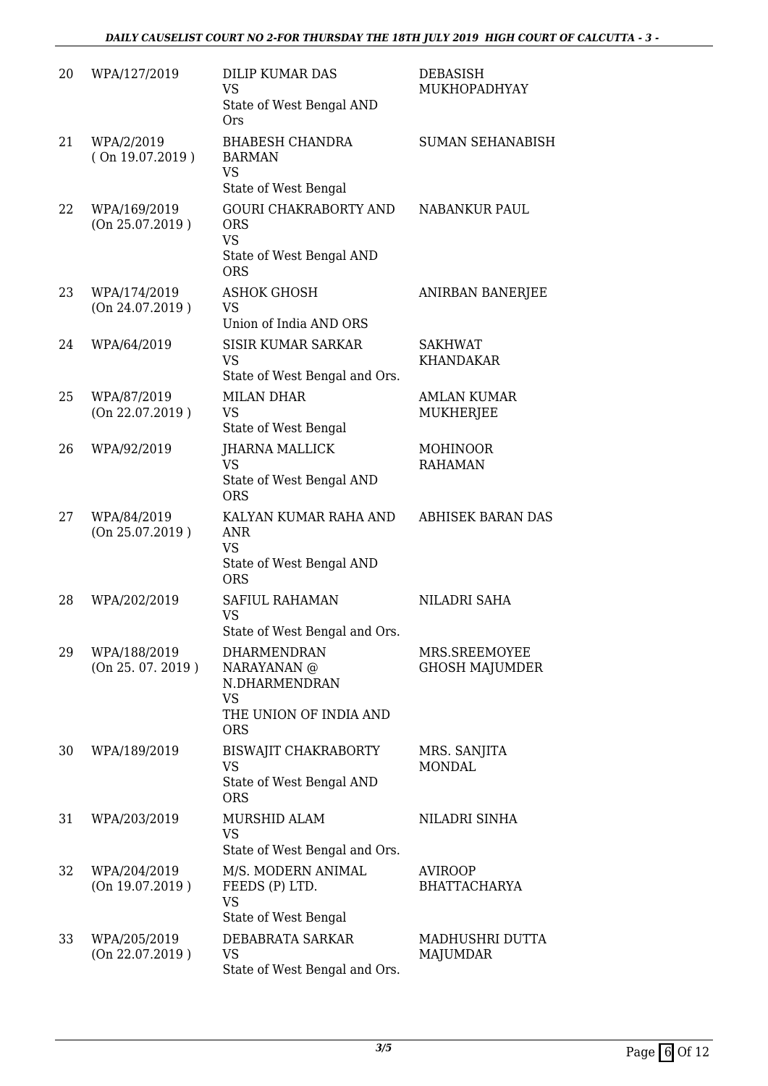| 20 | WPA/127/2019                      | <b>DILIP KUMAR DAS</b><br><b>VS</b><br>State of West Bengal AND<br><b>Ors</b>                     | <b>DEBASISH</b><br>MUKHOPADHYAY        |
|----|-----------------------------------|---------------------------------------------------------------------------------------------------|----------------------------------------|
| 21 | WPA/2/2019<br>(On 19.07.2019)     | <b>BHABESH CHANDRA</b><br><b>BARMAN</b><br><b>VS</b><br>State of West Bengal                      | <b>SUMAN SEHANABISH</b>                |
| 22 | WPA/169/2019<br>(On 25.07.2019)   | <b>GOURI CHAKRABORTY AND</b><br><b>ORS</b><br><b>VS</b><br>State of West Bengal AND<br><b>ORS</b> | NABANKUR PAUL                          |
| 23 | WPA/174/2019<br>(On 24.07.2019)   | <b>ASHOK GHOSH</b><br>VS<br>Union of India AND ORS                                                | ANIRBAN BANERJEE                       |
| 24 | WPA/64/2019                       | <b>SISIR KUMAR SARKAR</b><br><b>VS</b><br>State of West Bengal and Ors.                           | <b>SAKHWAT</b><br><b>KHANDAKAR</b>     |
| 25 | WPA/87/2019<br>(On 22.07.2019)    | <b>MILAN DHAR</b><br><b>VS</b><br>State of West Bengal                                            | <b>AMLAN KUMAR</b><br>MUKHERJEE        |
| 26 | WPA/92/2019                       | <b>JHARNA MALLICK</b><br><b>VS</b><br>State of West Bengal AND<br><b>ORS</b>                      | <b>MOHINOOR</b><br><b>RAHAMAN</b>      |
| 27 | WPA/84/2019<br>(On 25.07.2019)    | KALYAN KUMAR RAHA AND<br><b>ANR</b><br><b>VS</b><br>State of West Bengal AND<br><b>ORS</b>        | <b>ABHISEK BARAN DAS</b>               |
| 28 | WPA/202/2019                      | SAFIUL RAHAMAN<br><b>VS</b><br>State of West Bengal and Ors.                                      | NILADRI SAHA                           |
| 29 | WPA/188/2019<br>(On 25. 07. 2019) | DHARMENDRAN<br>NARAYANAN @<br>N.DHARMENDRAN<br><b>VS</b><br>THE UNION OF INDIA AND<br><b>ORS</b>  | MRS.SREEMOYEE<br><b>GHOSH MAJUMDER</b> |
| 30 | WPA/189/2019                      | <b>BISWAJIT CHAKRABORTY</b><br>VS<br>State of West Bengal AND<br><b>ORS</b>                       | MRS. SANJITA<br><b>MONDAL</b>          |
| 31 | WPA/203/2019                      | MURSHID ALAM<br><b>VS</b><br>State of West Bengal and Ors.                                        | NILADRI SINHA                          |
| 32 | WPA/204/2019<br>(On 19.07.2019)   | M/S. MODERN ANIMAL<br>FEEDS (P) LTD.<br><b>VS</b><br>State of West Bengal                         | <b>AVIROOP</b><br><b>BHATTACHARYA</b>  |
| 33 | WPA/205/2019<br>(On 22.07.2019)   | DEBABRATA SARKAR<br><b>VS</b><br>State of West Bengal and Ors.                                    | MADHUSHRI DUTTA<br>MAJUMDAR            |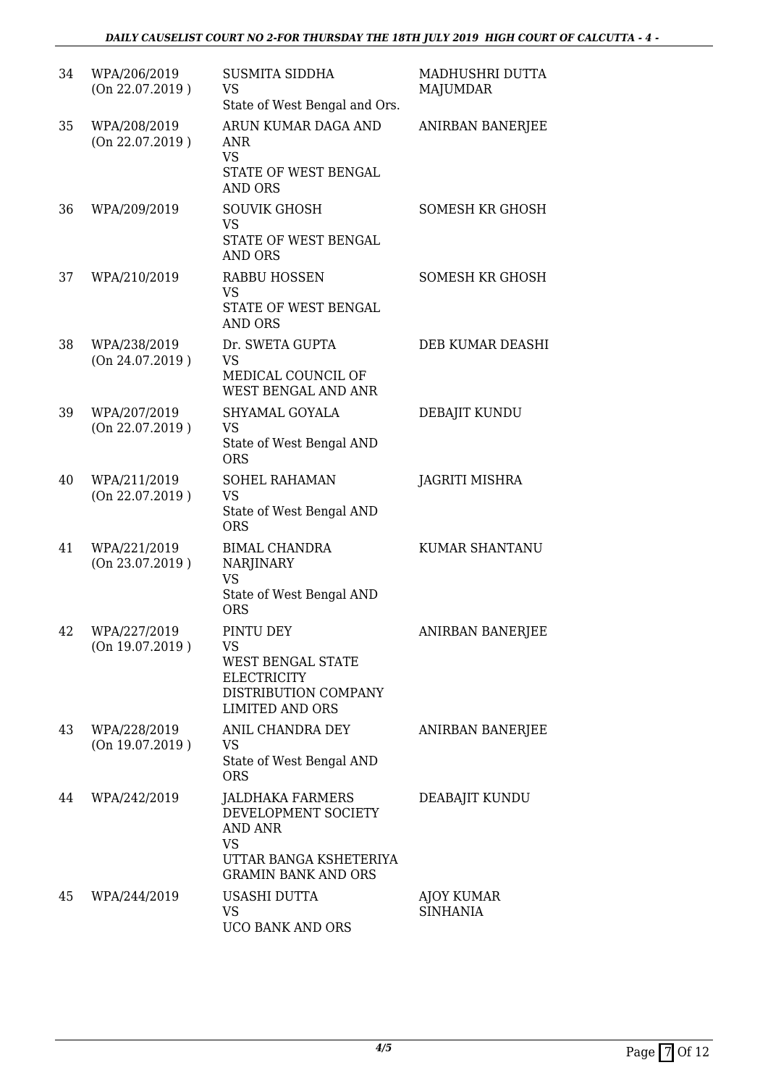| 34 | WPA/206/2019<br>(On 22.07.2019) | <b>SUSMITA SIDDHA</b><br>VS<br>State of West Bengal and Ors.                                                     | MADHUSHRI DUTTA<br><b>MAJUMDAR</b>   |
|----|---------------------------------|------------------------------------------------------------------------------------------------------------------|--------------------------------------|
| 35 | WPA/208/2019<br>(On 22.07.2019) | ARUN KUMAR DAGA AND<br>ANR<br><b>VS</b><br>STATE OF WEST BENGAL<br><b>AND ORS</b>                                | ANIRBAN BANERJEE                     |
| 36 | WPA/209/2019                    | <b>SOUVIK GHOSH</b><br>VS<br>STATE OF WEST BENGAL<br><b>AND ORS</b>                                              | SOMESH KR GHOSH                      |
| 37 | WPA/210/2019                    | <b>RABBU HOSSEN</b><br><b>VS</b><br>STATE OF WEST BENGAL<br><b>AND ORS</b>                                       | <b>SOMESH KR GHOSH</b>               |
| 38 | WPA/238/2019<br>(On 24.07.2019) | Dr. SWETA GUPTA<br><b>VS</b><br>MEDICAL COUNCIL OF<br>WEST BENGAL AND ANR                                        | DEB KUMAR DEASHI                     |
| 39 | WPA/207/2019<br>(On 22.07.2019) | SHYAMAL GOYALA<br><b>VS</b><br>State of West Bengal AND<br><b>ORS</b>                                            | DEBAJIT KUNDU                        |
| 40 | WPA/211/2019<br>(On 22.07.2019) | <b>SOHEL RAHAMAN</b><br><b>VS</b><br>State of West Bengal AND<br><b>ORS</b>                                      | <b>JAGRITI MISHRA</b>                |
| 41 | WPA/221/2019<br>(On 23.07.2019) | <b>BIMAL CHANDRA</b><br>NARJINARY<br><b>VS</b><br>State of West Bengal AND<br><b>ORS</b>                         | <b>KUMAR SHANTANU</b>                |
| 42 | WPA/227/2019<br>(On 19.07.2019) | PINTU DEY<br>VS<br>WEST BENGAL STATE<br><b>ELECTRICITY</b><br>DISTRIBUTION COMPANY<br><b>LIMITED AND ORS</b>     | <b>ANIRBAN BANERJEE</b>              |
| 43 | WPA/228/2019<br>(On 19.07.2019) | ANIL CHANDRA DEY<br>VS<br>State of West Bengal AND<br><b>ORS</b>                                                 | ANIRBAN BANERJEE                     |
| 44 | WPA/242/2019                    | JALDHAKA FARMERS<br>DEVELOPMENT SOCIETY<br>AND ANR<br>VS<br>UTTAR BANGA KSHETERIYA<br><b>GRAMIN BANK AND ORS</b> | DEABAJIT KUNDU                       |
| 45 | WPA/244/2019                    | USASHI DUTTA<br>VS<br>UCO BANK AND ORS                                                                           | <b>AJOY KUMAR</b><br><b>SINHANIA</b> |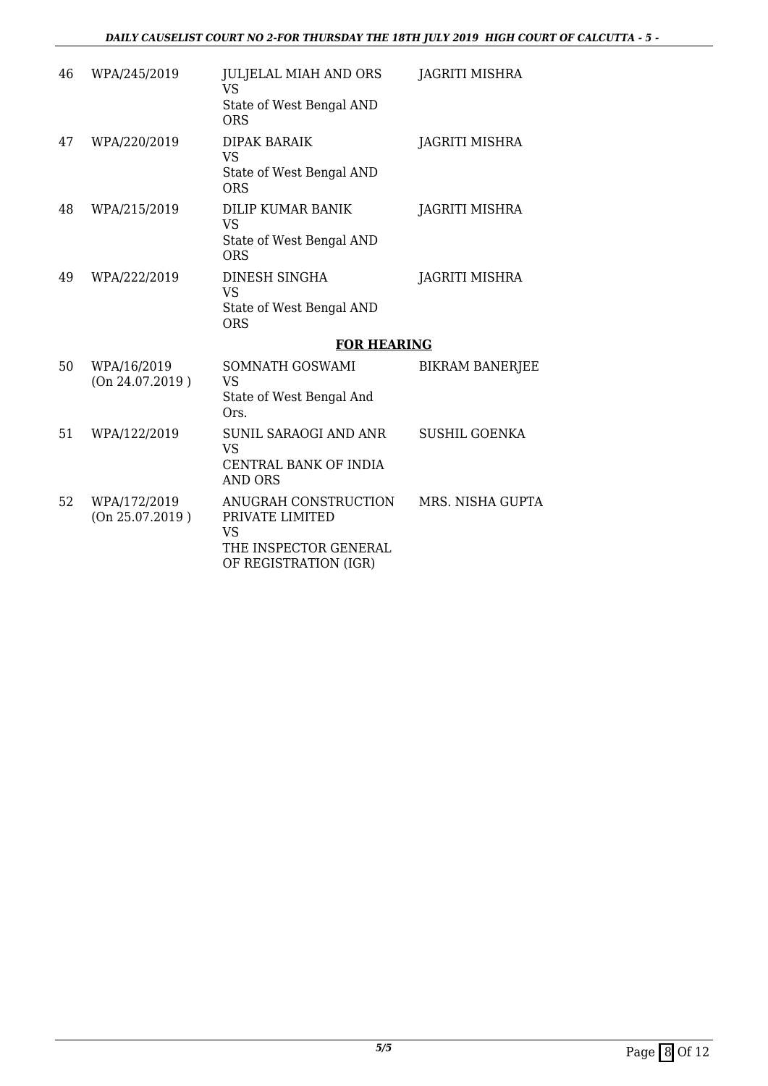| 46 | WPA/245/2019                    | <b>JULJELAL MIAH AND ORS</b><br>VS                   | <b>JAGRITI MISHRA</b>  |
|----|---------------------------------|------------------------------------------------------|------------------------|
|    |                                 | State of West Bengal AND<br><b>ORS</b>               |                        |
| 47 | WPA/220/2019                    | <b>DIPAK BARAIK</b><br><b>VS</b>                     | JAGRITI MISHRA         |
|    |                                 | State of West Bengal AND<br><b>ORS</b>               |                        |
| 48 | WPA/215/2019                    | DILIP KUMAR BANIK<br>VS                              | JAGRITI MISHRA         |
|    |                                 | State of West Bengal AND<br>ORS                      |                        |
| 49 | WPA/222/2019                    | DINESH SINGHA<br><b>VS</b>                           | <b>JAGRITI MISHRA</b>  |
|    |                                 | State of West Bengal AND<br><b>ORS</b>               |                        |
|    |                                 | <b>FOR HEARING</b>                                   |                        |
| 50 | WPA/16/2019<br>(On 24.07.2019)  | SOMNATH GOSWAMI<br><b>VS</b>                         | <b>BIKRAM BANERJEE</b> |
|    |                                 | State of West Bengal And<br>Ors.                     |                        |
| 51 | WPA/122/2019                    | SUNIL SARAOGI AND ANR<br><b>VS</b>                   | <b>SUSHIL GOENKA</b>   |
|    |                                 | CENTRAL BANK OF INDIA<br><b>AND ORS</b>              |                        |
| 52 | WPA/172/2019<br>(On 25.07.2019) | ANUGRAH CONSTRUCTION<br>PRIVATE LIMITED<br><b>VS</b> | MRS. NISHA GUPTA       |
|    |                                 | THE INSPECTOR GENERAL<br>OF REGISTRATION (IGR)       |                        |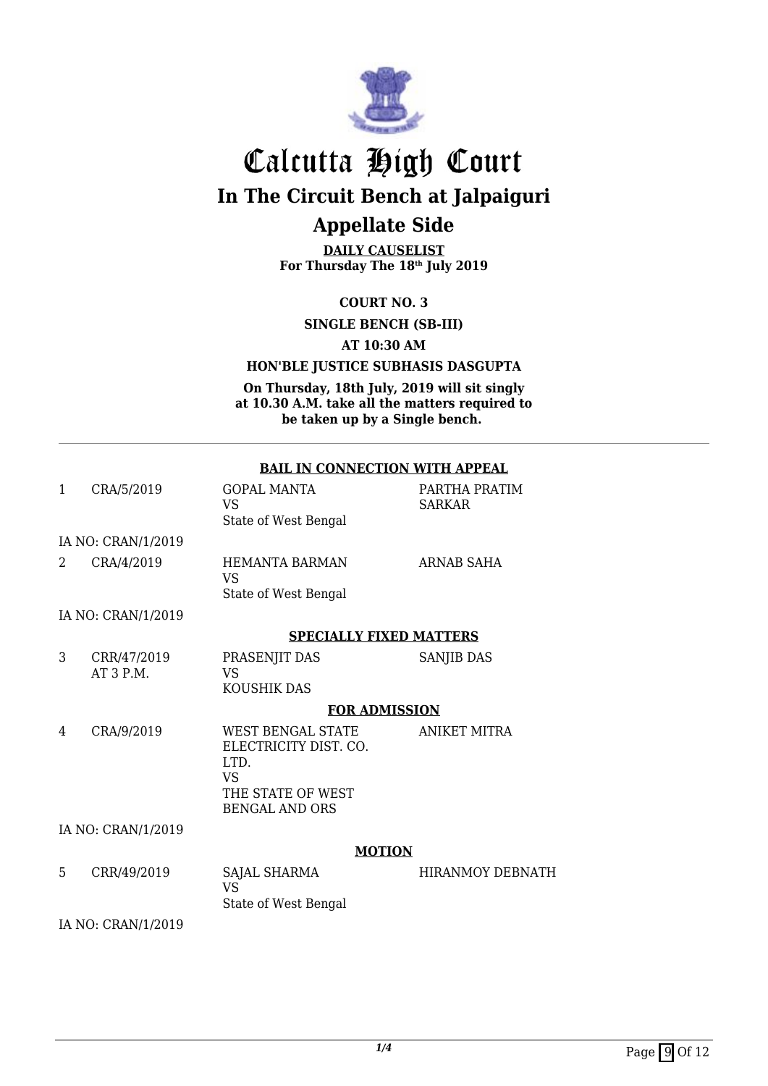

**DAILY CAUSELIST For Thursday The 18th July 2019**

**COURT NO. 3**

**SINGLE BENCH (SB-III)**

**AT 10:30 AM**

**HON'BLE JUSTICE SUBHASIS DASGUPTA**

**On Thursday, 18th July, 2019 will sit singly at 10.30 A.M. take all the matters required to be taken up by a Single bench.** 

#### **BAIL IN CONNECTION WITH APPEAL**

| 1             | CRA/5/2019                | <b>GOPAL MANTA</b><br>VS.<br>State of West Bengal                                                             | PARTHA PRATIM<br><b>SARKAR</b> |
|---------------|---------------------------|---------------------------------------------------------------------------------------------------------------|--------------------------------|
|               | IA NO: CRAN/1/2019        |                                                                                                               |                                |
| $\mathcal{L}$ | CRA/4/2019                | <b>HEMANTA BARMAN</b><br><b>VS</b><br>State of West Bengal                                                    | <b>ARNAB SAHA</b>              |
|               | IA NO: CRAN/1/2019        |                                                                                                               |                                |
|               |                           | <b>SPECIALLY FIXED MATTERS</b>                                                                                |                                |
| 3             | CRR/47/2019<br>$AT3$ P.M. | PRASENJIT DAS<br>VS.<br><b>KOUSHIK DAS</b>                                                                    | SANJIB DAS                     |
|               |                           | <b>FOR ADMISSION</b>                                                                                          |                                |
| 4             | CRA/9/2019                | WEST BENGAL STATE<br>ELECTRICITY DIST. CO.<br>LTD.<br><b>VS</b><br>THE STATE OF WEST<br><b>BENGAL AND ORS</b> | <b>ANIKET MITRA</b>            |
|               | IA NO: CRAN/1/2019        |                                                                                                               |                                |
|               |                           | <b>MOTION</b>                                                                                                 |                                |
| 5             | CRR/49/2019               | SAJAL SHARMA<br><b>VS</b><br>State of West Bengal                                                             | <b>HIRANMOY DEBNATH</b>        |
|               | IA NO: CRAN/1/2019        |                                                                                                               |                                |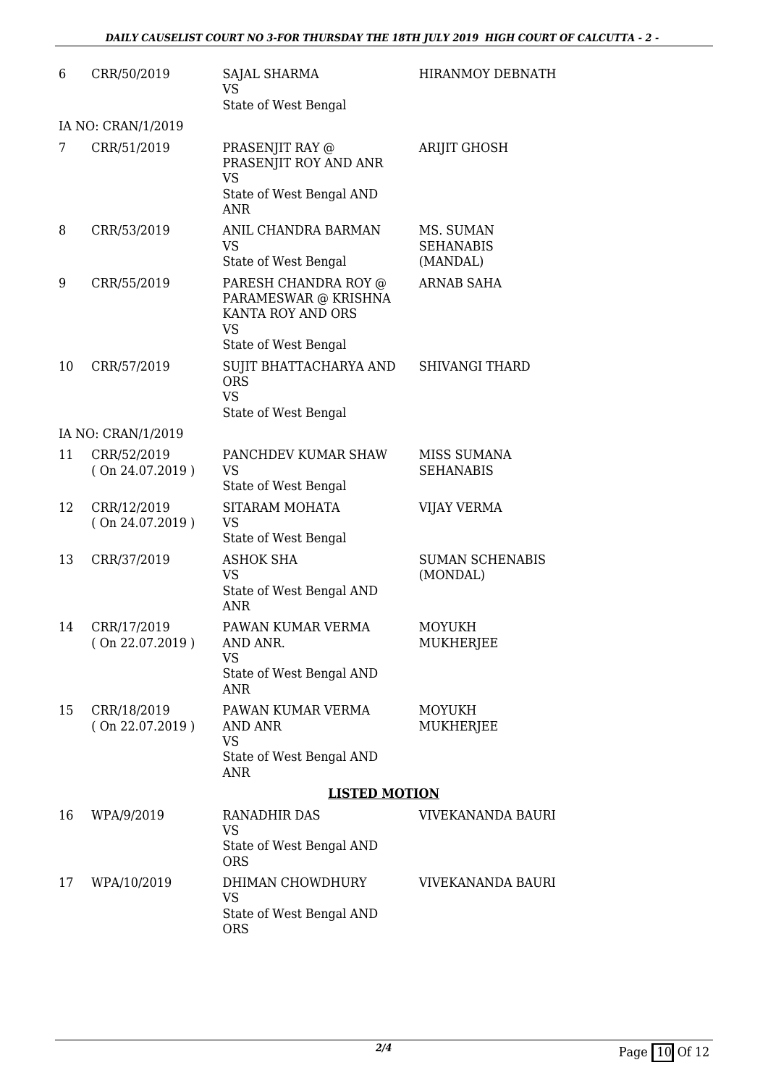| 6  | CRR/50/2019                    | SAJAL SHARMA<br>VS.                                                                                    | <b>HIRANMOY DEBNATH</b>                   |
|----|--------------------------------|--------------------------------------------------------------------------------------------------------|-------------------------------------------|
|    | IA NO: CRAN/1/2019             | State of West Bengal                                                                                   |                                           |
| 7  | CRR/51/2019                    | PRASENJIT RAY @<br>PRASENJIT ROY AND ANR<br><b>VS</b><br>State of West Bengal AND<br><b>ANR</b>        | <b>ARIJIT GHOSH</b>                       |
| 8  | CRR/53/2019                    | ANIL CHANDRA BARMAN<br><b>VS</b><br>State of West Bengal                                               | MS. SUMAN<br><b>SEHANABIS</b><br>(MANDAL) |
| 9  | CRR/55/2019                    | PARESH CHANDRA ROY @<br>PARAMESWAR @ KRISHNA<br>KANTA ROY AND ORS<br><b>VS</b><br>State of West Bengal | <b>ARNAB SAHA</b>                         |
| 10 | CRR/57/2019                    | SUJIT BHATTACHARYA AND<br><b>ORS</b><br><b>VS</b><br>State of West Bengal                              | <b>SHIVANGI THARD</b>                     |
|    | IA NO: CRAN/1/2019             |                                                                                                        |                                           |
| 11 | CRR/52/2019<br>(On 24.07.2019) | PANCHDEV KUMAR SHAW<br><b>VS</b><br>State of West Bengal                                               | MISS SUMANA<br><b>SEHANABIS</b>           |
| 12 | CRR/12/2019<br>(On 24.07.2019) | SITARAM MOHATA<br><b>VS</b><br>State of West Bengal                                                    | <b>VIJAY VERMA</b>                        |
| 13 | CRR/37/2019                    | <b>ASHOK SHA</b><br><b>VS</b><br>State of West Bengal AND<br><b>ANR</b>                                | <b>SUMAN SCHENABIS</b><br>(MONDAL)        |
| 14 | CRR/17/2019<br>(On 22.07.2019) | PAWAN KUMAR VERMA<br>AND ANR.<br><b>VS</b><br>State of West Bengal AND<br><b>ANR</b>                   | <b>MOYUKH</b><br><b>MUKHERJEE</b>         |
| 15 | CRR/18/2019<br>(On 22.07.2019) | PAWAN KUMAR VERMA<br>AND ANR<br><b>VS</b><br>State of West Bengal AND<br><b>ANR</b>                    | <b>MOYUKH</b><br>MUKHERJEE                |
|    |                                | <b>LISTED MOTION</b>                                                                                   |                                           |
| 16 | WPA/9/2019                     | RANADHIR DAS<br><b>VS</b><br>State of West Bengal AND<br><b>ORS</b>                                    | <b>VIVEKANANDA BAURI</b>                  |
| 17 | WPA/10/2019                    | DHIMAN CHOWDHURY<br><b>VS</b><br>State of West Bengal AND<br><b>ORS</b>                                | VIVEKANANDA BAURI                         |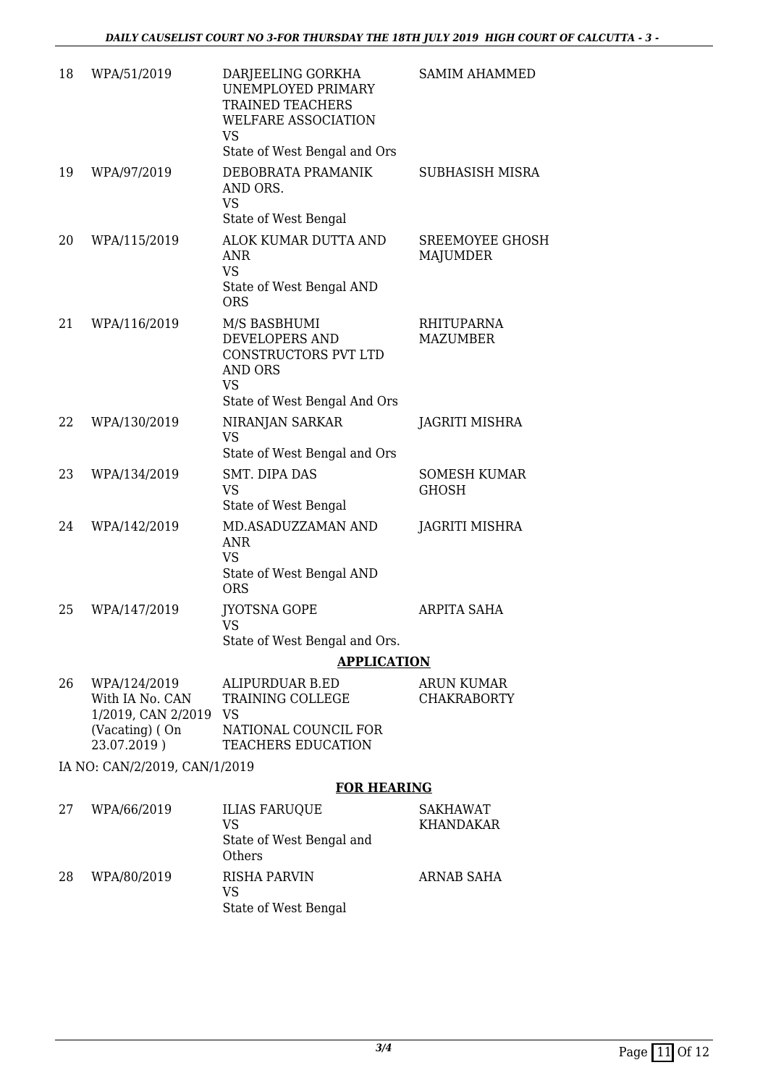| 18                            | WPA/51/2019                                                                               | DARJEELING GORKHA<br>UNEMPLOYED PRIMARY<br><b>TRAINED TEACHERS</b><br>WELFARE ASSOCIATION<br><b>VS</b><br>State of West Bengal and Ors | <b>SAMIM AHAMMED</b>                      |  |
|-------------------------------|-------------------------------------------------------------------------------------------|----------------------------------------------------------------------------------------------------------------------------------------|-------------------------------------------|--|
| 19                            | WPA/97/2019                                                                               | DEBOBRATA PRAMANIK<br>AND ORS.<br><b>VS</b><br>State of West Bengal                                                                    | SUBHASISH MISRA                           |  |
| 20                            | WPA/115/2019                                                                              | ALOK KUMAR DUTTA AND<br><b>ANR</b><br><b>VS</b><br>State of West Bengal AND<br><b>ORS</b>                                              | <b>SREEMOYEE GHOSH</b><br><b>MAJUMDER</b> |  |
| 21                            | WPA/116/2019                                                                              | M/S BASBHUMI<br>DEVELOPERS AND<br>CONSTRUCTORS PVT LTD<br><b>AND ORS</b><br><b>VS</b><br>State of West Bengal And Ors                  | <b>RHITUPARNA</b><br><b>MAZUMBER</b>      |  |
| 22                            | WPA/130/2019                                                                              | NIRANJAN SARKAR<br><b>VS</b><br>State of West Bengal and Ors                                                                           | JAGRITI MISHRA                            |  |
| 23                            | WPA/134/2019                                                                              | SMT. DIPA DAS<br><b>VS</b><br>State of West Bengal                                                                                     | <b>SOMESH KUMAR</b><br><b>GHOSH</b>       |  |
| 24                            | WPA/142/2019                                                                              | MD.ASADUZZAMAN AND<br><b>ANR</b><br><b>VS</b><br>State of West Bengal AND<br><b>ORS</b>                                                | <b>JAGRITI MISHRA</b>                     |  |
| 25                            | WPA/147/2019                                                                              | <b>JYOTSNA GOPE</b><br>VS<br>State of West Bengal and Ors.                                                                             | ARPITA SAHA                               |  |
|                               |                                                                                           | <b>APPLICATION</b>                                                                                                                     |                                           |  |
| 26                            | WPA/124/2019<br>With IA No. CAN<br>1/2019, CAN 2/2019 VS<br>(Vacating) (On<br>23.07.2019) | <b>ALIPURDUAR B.ED</b><br>TRAINING COLLEGE<br>NATIONAL COUNCIL FOR<br><b>TEACHERS EDUCATION</b>                                        | <b>ARUN KUMAR</b><br><b>CHAKRABORTY</b>   |  |
| IA NO: CAN/2/2019, CAN/1/2019 |                                                                                           |                                                                                                                                        |                                           |  |
|                               |                                                                                           | <b>FOR HEARING</b>                                                                                                                     |                                           |  |
| 27                            | WPA/66/2019                                                                               | <b>ILIAS FARUQUE</b><br>VS<br>State of West Bengal and<br>Others                                                                       | SAKHAWAT<br>KHANDAKAR                     |  |
| 28                            | WPA/80/2019                                                                               | <b>RISHA PARVIN</b><br><b>VS</b>                                                                                                       | ARNAB SAHA                                |  |